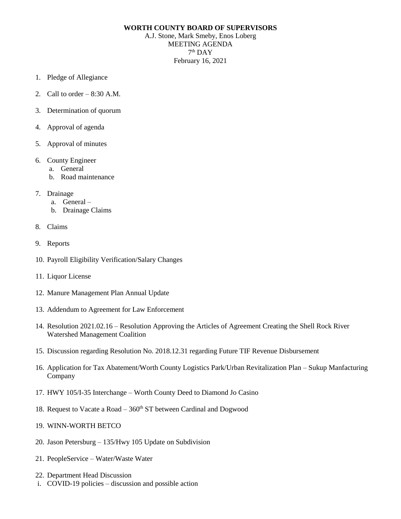## **WORTH COUNTY BOARD OF SUPERVISORS**

A.J. Stone, Mark Smeby, Enos Loberg MEETING AGENDA  $7<sup>th</sup>$  DAY February 16, 2021

- 1. Pledge of Allegiance
- 2. Call to order  $-8:30$  A.M.
- 3. Determination of quorum
- 4. Approval of agenda
- 5. Approval of minutes
- 6. County Engineer
	- a. General
	- b. Road maintenance
- 7. Drainage
	- a. General –
	- b. Drainage Claims
- 8. Claims
- 9. Reports
- 10. Payroll Eligibility Verification/Salary Changes
- 11. Liquor License
- 12. Manure Management Plan Annual Update
- 13. Addendum to Agreement for Law Enforcement
- 14. Resolution 2021.02.16 Resolution Approving the Articles of Agreement Creating the Shell Rock River Watershed Management Coalition
- 15. Discussion regarding Resolution No. 2018.12.31 regarding Future TIF Revenue Disbursement
- 16. Application for Tax Abatement/Worth County Logistics Park/Urban Revitalization Plan Sukup Manfacturing Company
- 17. HWY 105/I-35 Interchange Worth County Deed to Diamond Jo Casino
- 18. Request to Vacate a Road  $-360<sup>th</sup>$  ST between Cardinal and Dogwood
- 19. WINN-WORTH BETCO
- 20. Jason Petersburg 135/Hwy 105 Update on Subdivision
- 21. PeopleService Water/Waste Water
- 22. Department Head Discussion
- i. COVID-19 policies discussion and possible action